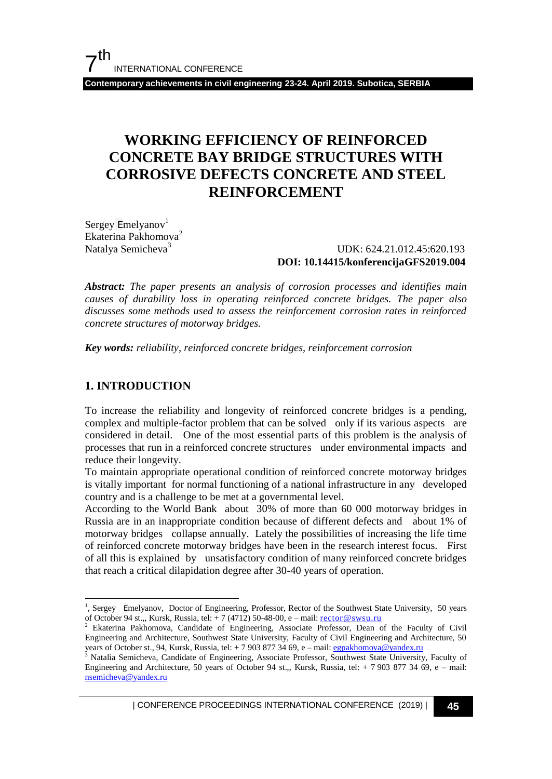**Contemporary achievements in civil engineering 23-24. April 2019. Subotica, SERBIA**

## **WORKING EFFICIENCY OF REINFORCED CONCRETE BAY BRIDGE STRUCTURES WITH CORROSIVE DEFECTS CONCRETE AND STEEL REINFORCEMENT**

Sergey  $Emelyanov<sup>1</sup>$ Ekaterina Pakhomova<sup>2</sup> Natalya Semicheva<sup>3</sup>

 UDK: 624.21.012.45:620.193 **DOI: 10.14415/konferencijaGFS2019.004**

*Abstract: The paper presents an analysis of corrosion processes and identifies main causes of durability loss in operating reinforced concrete bridges. The paper also discusses some methods used to assess the reinforcement corrosion rates in reinforced concrete structures of motorway bridges.* 

*Key words: reliability, reinforced concrete bridges, reinforcement corrosion*

#### **1. INTRODUCTION**

l

To increase the reliability and longevity of reinforced concrete bridges is a pending, complex and multiple-factor problem that can be solved only if its various aspects are considered in detail. One of the most essential parts of this problem is the analysis of processes that run in a reinforced concrete structures under environmental impacts and reduce their longevity.

To maintain appropriate operational condition of reinforced concrete motorway bridges is vitally important for normal functioning of a national infrastructure in any developed country and is a challenge to be met at a governmental level.

According to the World Bank about 30% of more than 60 000 motorway bridges in Russia are in an inappropriate condition because of different defects and about 1% of motorway bridges collapse annually. Lately the possibilities of increasing the life time of reinforced concrete motorway bridges have been in the research interest focus. First of all this is explained by unsatisfactory condition of many reinforced concrete bridges that reach a critical dilapidation degree after 30-40 years of operation.

| CONFERENCE PROCEEDINGS INTERNATIONAL CONFERENCE (2019) <sup>|</sup>**45**

<sup>&</sup>lt;sup>1</sup>, Sergey Emelyanov, Doctor of Engineering, Professor, Rector of the Southwest State University, 50 years of October 94 st.,, Kursk, Russia, tel: + 7 (4712) 50-48-00, e – mail: <u>[rector@swsu.ru](mailto:rector@swsu.ru)</u><br><sup>2</sup> Ekaterina Pakhomova, Cs. did: + 7 (4712) 50-48-00, e – mail: <u>rector@swsu.ru</u>

<sup>2</sup> Ekaterina Pakhomova, Candidate of Engineering, Associate Professor, Dean of the Faculty of Civil Engineering and Architecture, Southwest State University, Faculty of Civil Engineering and Architecture, 50 years of October st., 94, Kursk, Russia, tel: + 7 903 877 34 69, e – mail[: egpakhomova@yandex.ru](mailto:egpakhomova@yandex.ru)

<sup>3</sup> Natalia Semicheva, Candidate of Engineering, Associate Professor, Southwest State University, Faculty of Engineering and Architecture, 50 years of October 94 st.,, Kursk, Russia, tel:  $+ 79038773469$ , e – mail: [nsemicheva@yandex.ru](mailto:nsemicheva@yandex.ru)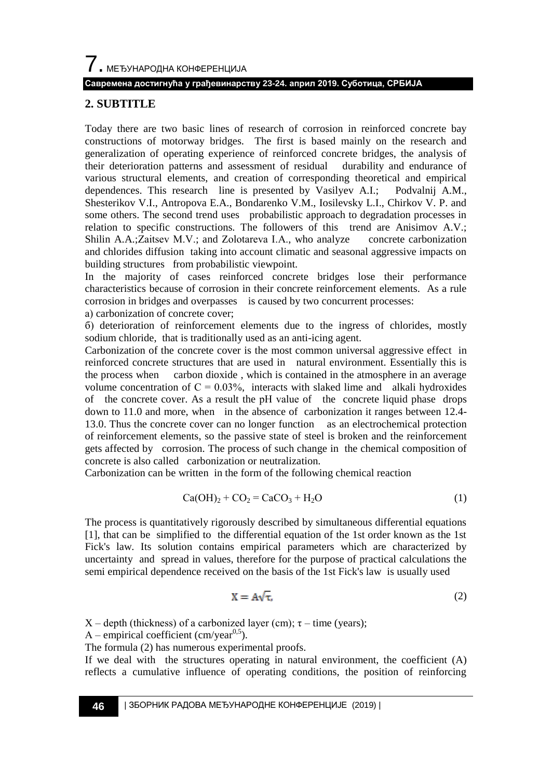7. МЕЂУНАРОДНА КОНФЕРЕНЦИЈА

#### **Савремена достигнућа у грађевинарству 23-24. април 2019. Суботица, СРБИЈА**

#### **2. SUBTITLE**

Today there are two basic lines of research of corrosion in reinforced concrete bay constructions of motorway bridges. The first is based mainly on the research and generalization of operating experience of reinforced concrete bridges, the analysis of their deterioration patterns and assessment of residual durability and endurance of various structural elements, and creation of corresponding theoretical and empirical dependences. This research line is presented by Vasilyev A.I.; Podvalnij A.M., Shesterikov V.I., Antropova E.A., Bondarenko V.M., Iosilevsky L.I., Chirkov V. P. and some others. The second trend uses probabilistic approach to degradation processes in relation to specific constructions. The followers of this trend are Anisimov A.V.; Shilin A.A.;Zaitsev M.V.; and Zolotareva I.A., who analyze concrete carbonization and chlorides diffusion taking into account climatic and seasonal aggressive impacts on building structures from probabilistic viewpoint.

In the majority of cases reinforced concrete bridges lose their performance characteristics because of corrosion in their concrete reinforcement elements. As a rule corrosion in bridges and overpasses is caused by two concurrent processes:

а) carbonization of concrete cover;

б) deterioration of reinforcement elements due to the ingress of chlorides, mostly sodium chloride, that is traditionally used as an anti-icing agent.

Carbonization of the concrete cover is the most common universal aggressive effect in reinforced concrete structures that are used in natural environment. Essentially this is the process when carbon dioxide , which is contained in the atmosphere in an average volume concentration of  $C = 0.03\%$ , interacts with slaked lime and alkali hydroxides of the concrete cover. As a result the рН value of the concrete liquid phase drops down to 11.0 and more, when in the absence of carbonization it ranges between 12.4- 13.0. Thus the concrete cover can no longer function as an electrochemical protection of reinforcement elements, so the passive state of steel is broken and the reinforcement gets affected by corrosion. The process of such change in the chemical composition of concrete is also called carbonization or neutralization.

Carbonization can be written in the form of the following chemical reaction

$$
Ca(OH)2 + CO2 = CaCO3 + H2O
$$
 (1)

The process is quantitatively rigorously described by simultaneous differential equations [1], that can be simplified to the differential equation of the 1st order known as the 1st Fick's law. Its solution contains empirical parameters which are characterized by uncertainty and spread in values, therefore for the purpose of practical calculations the semi empirical dependence received on the basis of the 1st Fick's law is usually used

$$
X = A\sqrt{\tau},\tag{2}
$$

 $X$  – depth (thickness) of a carbonized layer (cm);  $\tau$  – time (years);

A – empirical coefficient (cm/year<sup>0,5</sup>).

The formula (2) has numerous experimental proofs.

If we deal with the structures operating in natural environment, the coefficient (A) reflects a cumulative influence of operating conditions, the position of reinforcing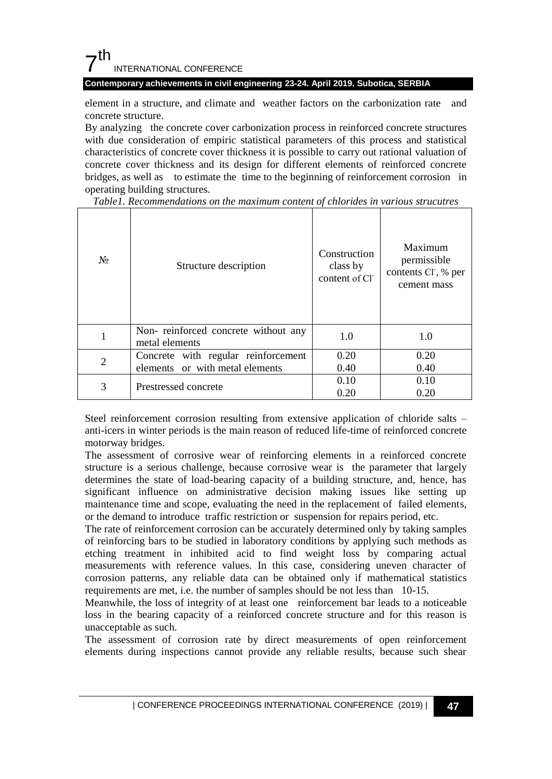### $7<sup>th</sup>$ INTERNATIONAL CONFERENCE

**Contemporary achievements in civil engineering 23-24. April 2019. Subotica, SERBIA**

element in a structure, and climate and weather factors on the carbonization rate and concrete structure.

By analyzing the concrete cover carbonization process in reinforced concrete structures with due consideration of empiric statistical parameters of this process and statistical characteristics of concrete cover thickness it is possible to carry out rational valuation of concrete cover thickness and its design for different elements of reinforced concrete bridges, as well as to estimate the time to the beginning of reinforcement corrosion in operating building structures.

| $N_2$          | Structure description                                                  | Construction<br>class by<br>content of Cl <sup>-</sup> | Maximum<br>permissible<br>contents Cl, % per<br>cement mass |
|----------------|------------------------------------------------------------------------|--------------------------------------------------------|-------------------------------------------------------------|
|                | Non-reinforced concrete without any<br>metal elements                  | 1.0                                                    | 1.0                                                         |
| $\overline{c}$ | Concrete with regular reinforcement<br>elements or with metal elements | 0.20<br>0.40                                           | 0.20<br>0.40                                                |
| 3              | Prestressed concrete                                                   | 0.10<br>0.20                                           | 0.10<br>0.20                                                |

*Table1. Recommendations on the maximum content of chlorides in various strucutres*

Steel reinforcement corrosion resulting from extensive application of chloride salts – anti-icers in winter periods is the main reason of reduced life-time of reinforced concrete motorway bridges.

The assessment of corrosive wear of reinforcing elements in a reinforced concrete structure is a serious challenge, because corrosive wear is the parameter that largely determines the state of load-bearing capacity of a building structure, and, hence, has significant influence on administrative decision making issues like setting up maintenance time and scope, evaluating the need in the replacement of failed elements, or the demand to introduce traffic restriction or suspension for repairs period, etc.

The rate of reinforcement corrosion can be accurately determined only by taking samples of reinforcing bars to be studied in laboratory conditions by applying such methods as etching treatment in inhibited acid to find weight loss by comparing actual measurements with reference values. In this case, considering uneven character of corrosion patterns, any reliable data can be obtained only if mathematical statistics requirements are met, i.e. the number of samples should be not less than 10-15.

Meanwhile, the loss of integrity of at least one reinforcement bar leads to a noticeable loss in the bearing capacity of a reinforced concrete structure and for this reason is unacceptable as such.

The assessment of corrosion rate by direct measurements of open reinforcement elements during inspections cannot provide any reliable results, because such shear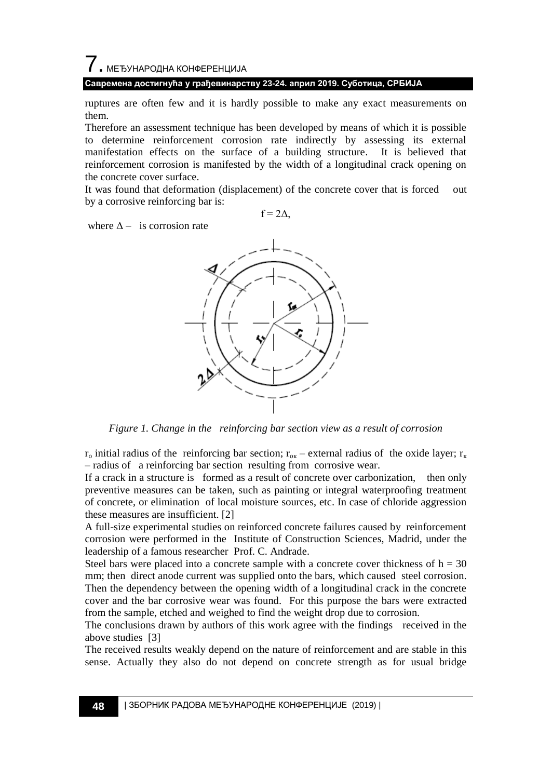### 7. МЕЂУНАРОДНА КОНФЕРЕНЦИЈА **Савремена достигнућа у грађевинарству 23-24. април 2019. Суботица, СРБИЈА**

ruptures are often few and it is hardly possible to make any exact measurements on them.

Therefore an assessment technique has been developed by means of which it is possible to determine reinforcement corrosion rate indirectly by assessing its external manifestation effects on the surface of a building structure. It is believed that reinforcement corrosion is manifested by the width of a longitudinal crack opening on the concrete cover surface.

It was found that deformation (displacement) of the concrete cover that is forced out by a corrosive reinforcing bar is:

 $f = 2\Delta$ .



where  $\Delta$  – is corrosion rate



*Figure 1. Change in the reinforcing bar section view as a result of corrosion*

 $r_o$  initial radius of the reinforcing bar section;  $r_{ox}$  – external radius of the oxide layer;  $r_k$ – radius of a reinforcing bar section resulting from corrosive wear.

If a crack in a structure is formed as a result of concrete over carbonization, then only preventive measures can be taken, such as painting or integral waterproofing treatment of concrete, or elimination of local moisture sources, etc. In case of chloride aggression these measures are insufficient. [2]

A full-size experimental studies on reinforced concrete failures caused by reinforcement corrosion were performed in the Institute of Construction Sciences, Madrid, under the leadership of a famous researcher Prof. C. Andrade.

Steel bars were placed into a concrete sample with a concrete cover thickness of  $h = 30$ mm; then direct anode current was supplied onto the bars, which caused steel corrosion. Then the dependency between the opening width of a longitudinal crack in the concrete cover and the bar corrosive wear was found. For this purpose the bars were extracted from the sample, etched and weighed to find the weight drop due to corrosion.

The conclusions drawn by authors of this work agree with the findings received in the above studies [3]

The received results weakly depend on the nature of reinforcement and are stable in this sense. Actually they also do not depend on concrete strength as for usual bridge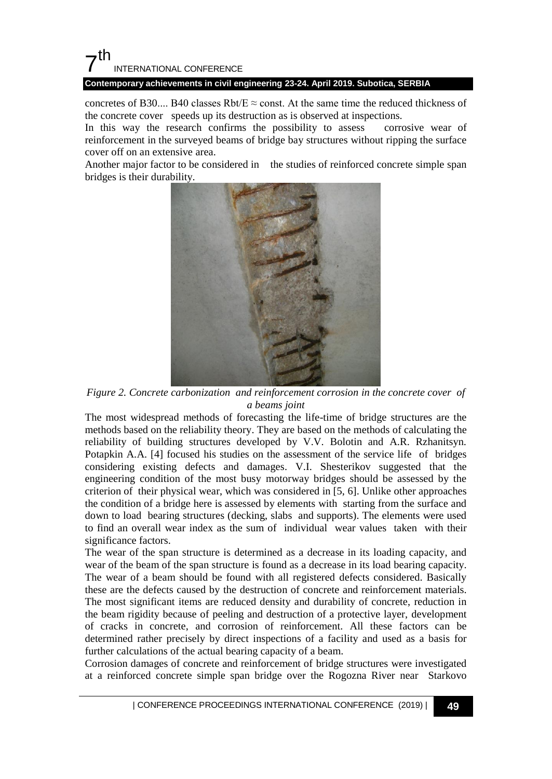

**Contemporary achievements in civil engineering 23-24. April 2019. Subotica, SERBIA**

concretes of B30.... B40 classes Rbt/E  $\approx$  const. At the same time the reduced thickness of the concrete cover speeds up its destruction as is observed at inspections.

In this way the research confirms the possibility to assess corrosive wear of reinforcement in the surveyed beams of bridge bay structures without ripping the surface cover off on an extensive area.

Another major factor to be considered in the studies of reinforced concrete simple span bridges is their durability.



*Figure 2. Concrete carbonization and reinforcement corrosion in the concrete cover of a beams joint*

The most widespread methods of forecasting the life-time of bridge structures are the methods based on the reliability theory. They are based on the methods of calculating the reliability of building structures developed by V.V. Bolotin and A.R. Rzhanitsyn. Potapkin A.A. [4] focused his studies on the assessment of the service life of bridges considering existing defects and damages. V.I. Shesterikov suggested that the engineering condition of the most busy motorway bridges should be assessed by the criterion of their physical wear, which was considered in [5, 6]. Unlike other approaches the condition of a bridge here is assessed by elements with starting from the surface and down to load bearing structures (decking, slabs and supports). The elements were used to find an overall wear index as the sum of individual wear values taken with their significance factors.

The wear of the span structure is determined as a decrease in its loading capacity, and wear of the beam of the span structure is found as a decrease in its load bearing capacity. The wear of a beam should be found with all registered defects considered. Basically these are the defects caused by the destruction of concrete and reinforcement materials. The most significant items are reduced density and durability of concrete, reduction in the beam rigidity because of peeling and destruction of a protective layer, development of cracks in concrete, and corrosion of reinforcement. All these factors can be determined rather precisely by direct inspections of a facility and used as a basis for further calculations of the actual bearing capacity of a beam.

Corrosion damages of concrete and reinforcement of bridge structures were investigated at a reinforced concrete simple span bridge over the Rogozna River near Starkovo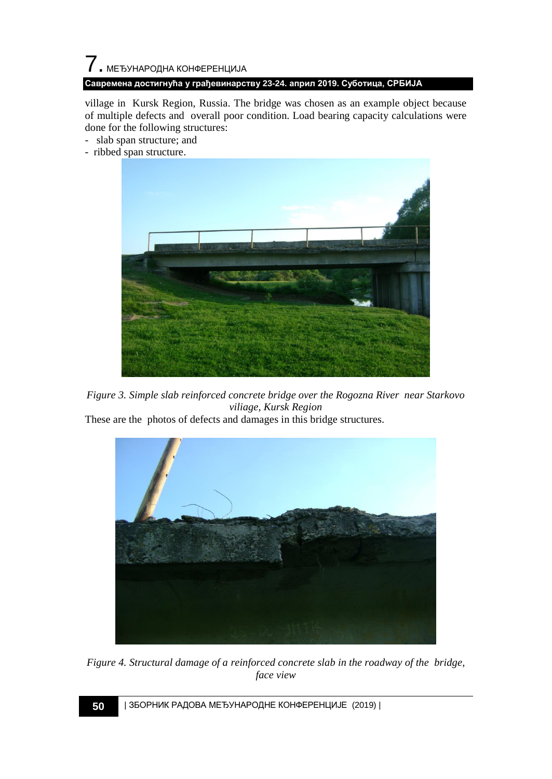# $\overline{7}$ . МЕЂУНАРОДНА КОНФЕРЕНЦИЈА **Савремена достигнућа у грађевинарству 23-24. април 2019. Суботица, СРБИЈА**

village in Kursk Region, Russia. The bridge was chosen as an example object because of multiple defects and overall poor condition. Load bearing capacity calculations were done for the following structures:

- slab span structure; and
- ribbed span structure.



*Figure 3. Simple slab reinforced concrete bridge over the Rogozna River near Starkovo viliage, Kursk Region*

These are the photos of defects and damages in this bridge structures.



*Figure 4. Structural damage of a reinforced concrete slab in the roadway of the bridge, face view*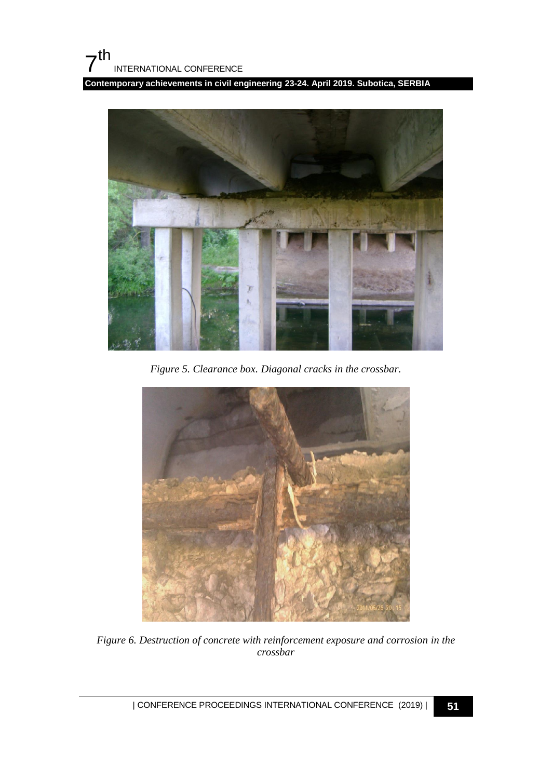**Contemporary achievements in civil engineering 23-24. April 2019. Subotica, SERBIA**



*Figure 5. Clearance box. Diagonal cracks in the crossbar.*



*Figure 6. Destruction of concrete with reinforcement exposure and corrosion in the crossbar*